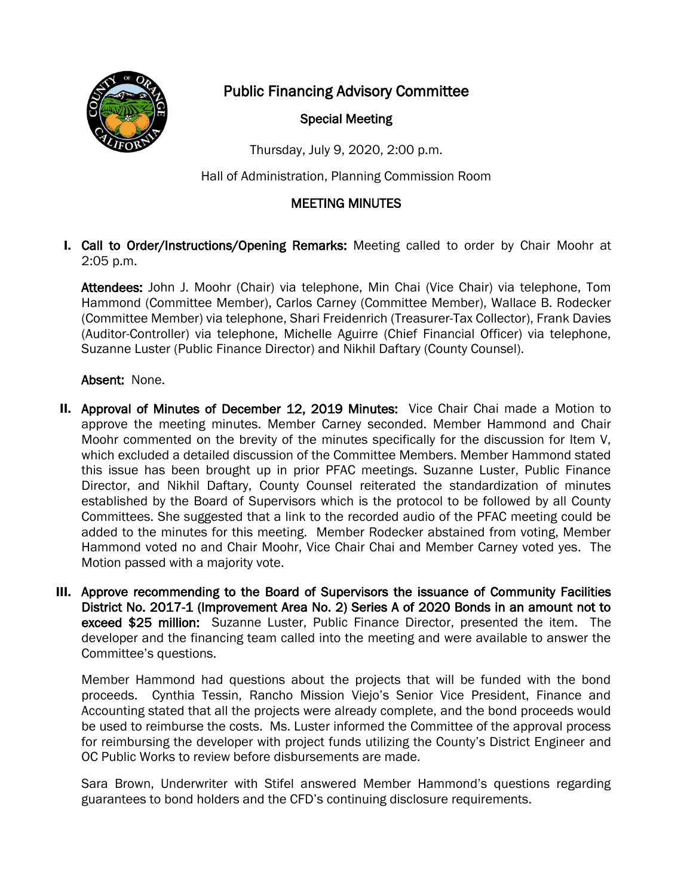

Public Financing Advisory Committee

## Special Meeting

Thursday, July 9, 2020, 2:00 p.m.

Hall of Administration, Planning Commission Room

## MEETING MINUTES

I. Call to Order/Instructions/Opening Remarks: Meeting called to order by Chair Moohr at 2:05 p.m.

Attendees: John J. Moohr (Chair) via telephone, Min Chai (Vice Chair) via telephone, Tom Hammond (Committee Member), Carlos Carney (Committee Member), Wallace B. Rodecker (Committee Member) via telephone, Shari Freidenrich (Treasurer-Tax Collector), Frank Davies (Auditor-Controller) via telephone, Michelle Aguirre (Chief Financial Officer) via telephone, Suzanne Luster (Public Finance Director) and Nikhil Daftary (County Counsel).

## Absent: None.

- II. Approval of Minutes of December 12, 2019 Minutes: Vice Chair Chai made a Motion to approve the meeting minutes. Member Carney seconded. Member Hammond and Chair Moohr commented on the brevity of the minutes specifically for the discussion for Item V, which excluded a detailed discussion of the Committee Members. Member Hammond stated this issue has been brought up in prior PFAC meetings. Suzanne Luster, Public Finance Director, and Nikhil Daftary, County Counsel reiterated the standardization of minutes established by the Board of Supervisors which is the protocol to be followed by all County Committees. She suggested that a link to the recorded audio of the PFAC meeting could be added to the minutes for this meeting. Member Rodecker abstained from voting, Member Hammond voted no and Chair Moohr, Vice Chair Chai and Member Carney voted yes. The Motion passed with a majority vote.
- III. Approve recommending to the Board of Supervisors the issuance of Community Facilities District No. 2017-1 (Improvement Area No. 2) Series A of 2020 Bonds in an amount not to exceed \$25 million: Suzanne Luster, Public Finance Director, presented the item. The developer and the financing team called into the meeting and were available to answer the Committee's questions.

Member Hammond had questions about the projects that will be funded with the bond proceeds. Cynthia Tessin, Rancho Mission Viejo's Senior Vice President, Finance and Accounting stated that all the projects were already complete, and the bond proceeds would be used to reimburse the costs. Ms. Luster informed the Committee of the approval process for reimbursing the developer with project funds utilizing the County's District Engineer and OC Public Works to review before disbursements are made.

Sara Brown, Underwriter with Stifel answered Member Hammond's questions regarding guarantees to bond holders and the CFD's continuing disclosure requirements.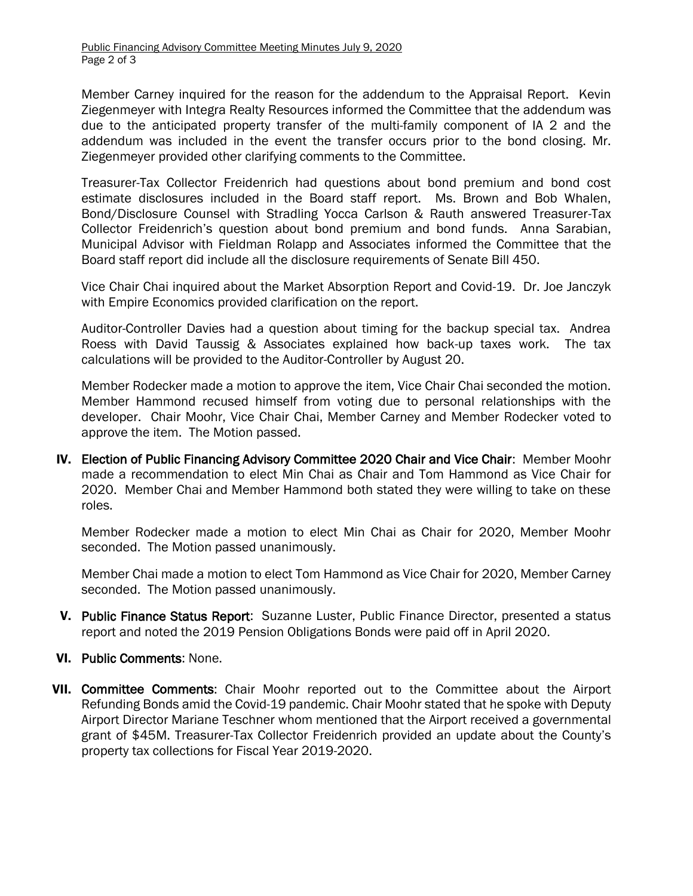Member Carney inquired for the reason for the addendum to the Appraisal Report. Kevin Ziegenmeyer with Integra Realty Resources informed the Committee that the addendum was due to the anticipated property transfer of the multi-family component of IA 2 and the addendum was included in the event the transfer occurs prior to the bond closing. Mr. Ziegenmeyer provided other clarifying comments to the Committee.

Treasurer-Tax Collector Freidenrich had questions about bond premium and bond cost estimate disclosures included in the Board staff report. Ms. Brown and Bob Whalen, Bond/Disclosure Counsel with Stradling Yocca Carlson & Rauth answered Treasurer-Tax Collector Freidenrich's question about bond premium and bond funds. Anna Sarabian, Municipal Advisor with Fieldman Rolapp and Associates informed the Committee that the Board staff report did include all the disclosure requirements of Senate Bill 450.

Vice Chair Chai inquired about the Market Absorption Report and Covid-19. Dr. Joe Janczyk with Empire Economics provided clarification on the report.

Auditor-Controller Davies had a question about timing for the backup special tax. Andrea Roess with David Taussig & Associates explained how back-up taxes work. The tax calculations will be provided to the Auditor-Controller by August 20.

Member Rodecker made a motion to approve the item, Vice Chair Chai seconded the motion. Member Hammond recused himself from voting due to personal relationships with the developer. Chair Moohr, Vice Chair Chai, Member Carney and Member Rodecker voted to approve the item. The Motion passed.

IV. Election of Public Financing Advisory Committee 2020 Chair and Vice Chair: Member Moohr made a recommendation to elect Min Chai as Chair and Tom Hammond as Vice Chair for 2020. Member Chai and Member Hammond both stated they were willing to take on these roles.

Member Rodecker made a motion to elect Min Chai as Chair for 2020, Member Moohr seconded. The Motion passed unanimously.

Member Chai made a motion to elect Tom Hammond as Vice Chair for 2020, Member Carney seconded. The Motion passed unanimously.

- V. Public Finance Status Report: Suzanne Luster, Public Finance Director, presented a status report and noted the 2019 Pension Obligations Bonds were paid off in April 2020.
- VI. Public Comments: None.
- VII. Committee Comments: Chair Moohr reported out to the Committee about the Airport Refunding Bonds amid the Covid-19 pandemic. Chair Moohr stated that he spoke with Deputy Airport Director Mariane Teschner whom mentioned that the Airport received a governmental grant of \$45M. Treasurer-Tax Collector Freidenrich provided an update about the County's property tax collections for Fiscal Year 2019-2020.